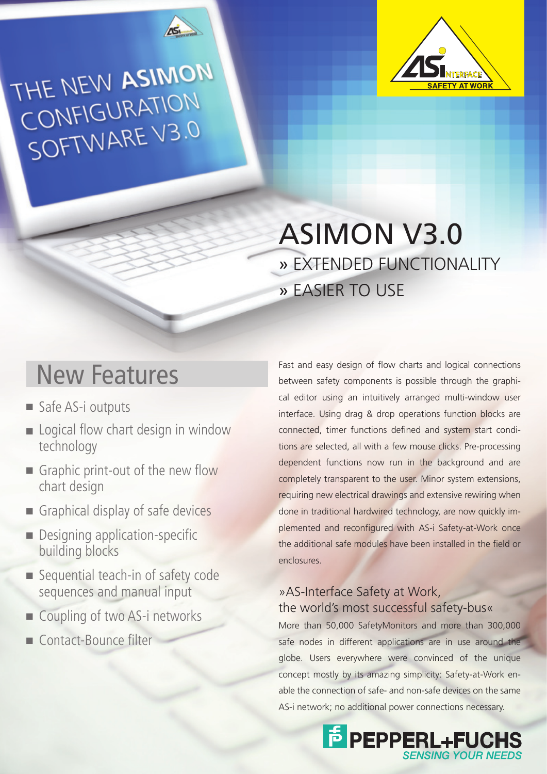

THE NEW ASIMON CONFIGURATION SOFTWARE V3.0



## ASIMON V3.0 » EXTENDED FUNCTIONALITY » EASIER TO USE

### New Features

- Safe AS-i outputs
- Logical flow chart design in window technology
- Graphic print-out of the new flow chart design
- Graphical display of safe devices
- Designing application-specific building blocks
- Sequential teach-in of safety code sequences and manual input
- Coupling of two AS-i networks
- Contact-Bounce filter

Fast and easy design of flow charts and logical connections between safety components is possible through the graphical editor using an intuitively arranged multi-window user interface. Using drag & drop operations function blocks are connected, timer functions defined and system start conditions are selected, all with a few mouse clicks. Pre-processing dependent functions now run in the background and are completely transparent to the user. Minor system extensions, requiring new electrical drawings and extensive rewiring when done in traditional hardwired technology, are now quickly implemented and reconfigured with AS-i Safety-at-Work once the additional safe modules have been installed in the field or enclosures.

### »AS-Interface Safety at Work, the world's most successful safety-bus«

More than 50,000 SafetyMonitors and more than 300,000 safe nodes in different applications are in use around the globe. Users everywhere were convinced of the unique concept mostly by its amazing simplicity: Safety-at-Work enable the connection of safe- and non-safe devices on the same AS-i network; no additional power connections necessary.